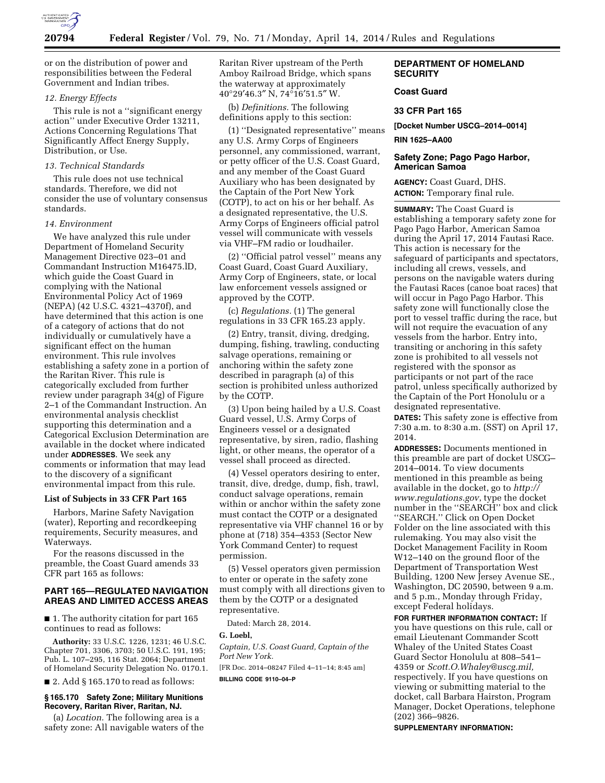

or on the distribution of power and responsibilities between the Federal Government and Indian tribes.

## *12. Energy Effects*

This rule is not a ''significant energy action'' under Executive Order 13211, Actions Concerning Regulations That Significantly Affect Energy Supply, Distribution, or Use.

## *13. Technical Standards*

This rule does not use technical standards. Therefore, we did not consider the use of voluntary consensus standards.

#### *14. Environment*

We have analyzed this rule under Department of Homeland Security Management Directive 023–01 and Commandant Instruction M16475.lD, which guide the Coast Guard in complying with the National Environmental Policy Act of 1969 (NEPA) (42 U.S.C. 4321–4370f), and have determined that this action is one of a category of actions that do not individually or cumulatively have a significant effect on the human environment. This rule involves establishing a safety zone in a portion of the Raritan River. This rule is categorically excluded from further review under paragraph 34(g) of Figure 2–1 of the Commandant Instruction. An environmental analysis checklist supporting this determination and a Categorical Exclusion Determination are available in the docket where indicated under **ADDRESSES**. We seek any comments or information that may lead to the discovery of a significant environmental impact from this rule.

### **List of Subjects in 33 CFR Part 165**

Harbors, Marine Safety Navigation (water), Reporting and recordkeeping requirements, Security measures, and Waterways.

For the reasons discussed in the preamble, the Coast Guard amends 33 CFR part 165 as follows:

# **PART 165—REGULATED NAVIGATION AREAS AND LIMITED ACCESS AREAS**

■ 1. The authority citation for part 165 continues to read as follows:

**Authority:** 33 U.S.C. 1226, 1231; 46 U.S.C. Chapter 701, 3306, 3703; 50 U.S.C. 191, 195; Pub. L. 107–295, 116 Stat. 2064; Department of Homeland Security Delegation No. 0170.1.

 $\blacksquare$  2. Add § 165.170 to read as follows:

### **§ 165.170 Safety Zone; Military Munitions Recovery, Raritan River, Raritan, NJ.**

(a) *Location.* The following area is a safety zone: All navigable waters of the Raritan River upstream of the Perth Amboy Railroad Bridge, which spans the waterway at approximately 40°29′46.3″ N, 74°16′51.5″ W.

(b) *Definitions.* The following definitions apply to this section:

(1) ''Designated representative'' means any U.S. Army Corps of Engineers personnel, any commissioned, warrant, or petty officer of the U.S. Coast Guard, and any member of the Coast Guard Auxiliary who has been designated by the Captain of the Port New York (COTP), to act on his or her behalf. As a designated representative, the U.S. Army Corps of Engineers official patrol vessel will communicate with vessels via VHF–FM radio or loudhailer.

(2) ''Official patrol vessel'' means any Coast Guard, Coast Guard Auxiliary, Army Corp of Engineers, state, or local law enforcement vessels assigned or approved by the COTP.

(c) *Regulations.* (1) The general regulations in 33 CFR 165.23 apply.

(2) Entry, transit, diving, dredging, dumping, fishing, trawling, conducting salvage operations, remaining or anchoring within the safety zone described in paragraph (a) of this section is prohibited unless authorized by the COTP.

(3) Upon being hailed by a U.S. Coast Guard vessel, U.S. Army Corps of Engineers vessel or a designated representative, by siren, radio, flashing light, or other means, the operator of a vessel shall proceed as directed.

(4) Vessel operators desiring to enter, transit, dive, dredge, dump, fish, trawl, conduct salvage operations, remain within or anchor within the safety zone must contact the COTP or a designated representative via VHF channel 16 or by phone at (718) 354–4353 (Sector New York Command Center) to request permission.

(5) Vessel operators given permission to enter or operate in the safety zone must comply with all directions given to them by the COTP or a designated representative.

Dated: March 28, 2014.

**G. Loebl,** 

*Captain, U.S. Coast Guard, Captain of the Port New York.* 

[FR Doc. 2014–08247 Filed 4–11–14; 8:45 am]

**BILLING CODE 9110–04–P** 

# **DEPARTMENT OF HOMELAND SECURITY**

# **Coast Guard**

### **33 CFR Part 165**

**[Docket Number USCG–2014–0014]** 

**RIN 1625–AA00** 

# **Safety Zone; Pago Pago Harbor, American Samoa**

**AGENCY:** Coast Guard, DHS. **ACTION:** Temporary final rule.

**SUMMARY:** The Coast Guard is establishing a temporary safety zone for Pago Pago Harbor, American Samoa during the April 17, 2014 Fautasi Race. This action is necessary for the safeguard of participants and spectators, including all crews, vessels, and persons on the navigable waters during the Fautasi Races (canoe boat races) that will occur in Pago Pago Harbor. This safety zone will functionally close the port to vessel traffic during the race, but will not require the evacuation of any vessels from the harbor. Entry into, transiting or anchoring in this safety zone is prohibited to all vessels not registered with the sponsor as participants or not part of the race patrol, unless specifically authorized by the Captain of the Port Honolulu or a designated representative.

**DATES:** This safety zone is effective from 7:30 a.m. to 8:30 a.m. (SST) on April 17, 2014.

**ADDRESSES:** Documents mentioned in this preamble are part of docket USCG– 2014–0014. To view documents mentioned in this preamble as being available in the docket, go to *[http://](http://www.regulations.gov) [www.regulations.gov](http://www.regulations.gov)*, type the docket number in the ''SEARCH'' box and click ''SEARCH.'' Click on Open Docket Folder on the line associated with this rulemaking. You may also visit the Docket Management Facility in Room W12–140 on the ground floor of the Department of Transportation West Building, 1200 New Jersey Avenue SE., Washington, DC 20590, between 9 a.m. and 5 p.m., Monday through Friday, except Federal holidays.

**FOR FURTHER INFORMATION CONTACT:** If you have questions on this rule, call or email Lieutenant Commander Scott Whaley of the United States Coast Guard Sector Honolulu at 808–541– 4359 or *[Scott.O.Whaley@uscg.mil,](mailto:Scott.O.Whaley@uscg.mil)*  respectively. If you have questions on viewing or submitting material to the docket, call Barbara Hairston, Program Manager, Docket Operations, telephone (202) 366–9826.

#### **SUPPLEMENTARY INFORMATION:**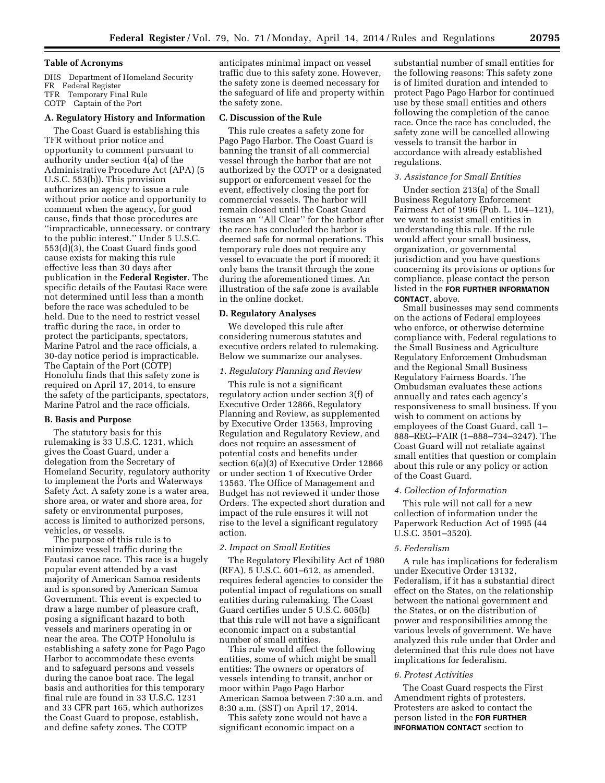#### **Table of Acronyms**

DHS Department of Homeland Security FR Federal Register TFR Temporary Final Rule COTP Captain of the Port

### **A. Regulatory History and Information**

The Coast Guard is establishing this TFR without prior notice and opportunity to comment pursuant to authority under section 4(a) of the Administrative Procedure Act (APA) (5 U.S.C. 553(b)). This provision authorizes an agency to issue a rule without prior notice and opportunity to comment when the agency, for good cause, finds that those procedures are ''impracticable, unnecessary, or contrary to the public interest.'' Under 5 U.S.C. 553(d)(3), the Coast Guard finds good cause exists for making this rule effective less than 30 days after publication in the **Federal Register**. The specific details of the Fautasi Race were not determined until less than a month before the race was scheduled to be held. Due to the need to restrict vessel traffic during the race, in order to protect the participants, spectators, Marine Patrol and the race officials, a 30-day notice period is impracticable. The Captain of the Port (COTP) Honolulu finds that this safety zone is required on April 17, 2014, to ensure the safety of the participants, spectators, Marine Patrol and the race officials.

#### **B. Basis and Purpose**

The statutory basis for this rulemaking is 33 U.S.C. 1231, which gives the Coast Guard, under a delegation from the Secretary of Homeland Security, regulatory authority to implement the Ports and Waterways Safety Act. A safety zone is a water area, shore area, or water and shore area, for safety or environmental purposes, access is limited to authorized persons, vehicles, or vessels.

The purpose of this rule is to minimize vessel traffic during the Fautasi canoe race. This race is a hugely popular event attended by a vast majority of American Samoa residents and is sponsored by American Samoa Government. This event is expected to draw a large number of pleasure craft, posing a significant hazard to both vessels and mariners operating in or near the area. The COTP Honolulu is establishing a safety zone for Pago Pago Harbor to accommodate these events and to safeguard persons and vessels during the canoe boat race. The legal basis and authorities for this temporary final rule are found in 33 U.S.C. 1231 and 33 CFR part 165, which authorizes the Coast Guard to propose, establish, and define safety zones. The COTP

anticipates minimal impact on vessel traffic due to this safety zone. However, the safety zone is deemed necessary for the safeguard of life and property within the safety zone.

#### **C. Discussion of the Rule**

This rule creates a safety zone for Pago Pago Harbor. The Coast Guard is banning the transit of all commercial vessel through the harbor that are not authorized by the COTP or a designated support or enforcement vessel for the event, effectively closing the port for commercial vessels. The harbor will remain closed until the Coast Guard issues an ''All Clear'' for the harbor after the race has concluded the harbor is deemed safe for normal operations. This temporary rule does not require any vessel to evacuate the port if moored; it only bans the transit through the zone during the aforementioned times. An illustration of the safe zone is available in the online docket.

#### **D. Regulatory Analyses**

We developed this rule after considering numerous statutes and executive orders related to rulemaking. Below we summarize our analyses.

#### *1. Regulatory Planning and Review*

This rule is not a significant regulatory action under section 3(f) of Executive Order 12866, Regulatory Planning and Review, as supplemented by Executive Order 13563, Improving Regulation and Regulatory Review, and does not require an assessment of potential costs and benefits under section 6(a)(3) of Executive Order 12866 or under section 1 of Executive Order 13563. The Office of Management and Budget has not reviewed it under those Orders. The expected short duration and impact of the rule ensures it will not rise to the level a significant regulatory action.

### *2. Impact on Small Entities*

The Regulatory Flexibility Act of 1980 (RFA), 5 U.S.C. 601–612, as amended, requires federal agencies to consider the potential impact of regulations on small entities during rulemaking. The Coast Guard certifies under 5 U.S.C. 605(b) that this rule will not have a significant economic impact on a substantial number of small entities.

This rule would affect the following entities, some of which might be small entities: The owners or operators of vessels intending to transit, anchor or moor within Pago Pago Harbor American Samoa between 7:30 a.m. and 8:30 a.m. (SST) on April 17, 2014.

This safety zone would not have a significant economic impact on a

substantial number of small entities for the following reasons: This safety zone is of limited duration and intended to protect Pago Pago Harbor for continued use by these small entities and others following the completion of the canoe race. Once the race has concluded, the safety zone will be cancelled allowing vessels to transit the harbor in accordance with already established regulations.

#### *3. Assistance for Small Entities*

Under section 213(a) of the Small Business Regulatory Enforcement Fairness Act of 1996 (Pub. L. 104–121), we want to assist small entities in understanding this rule. If the rule would affect your small business, organization, or governmental jurisdiction and you have questions concerning its provisions or options for compliance, please contact the person listed in the **FOR FURTHER INFORMATION CONTACT**, above.

Small businesses may send comments on the actions of Federal employees who enforce, or otherwise determine compliance with, Federal regulations to the Small Business and Agriculture Regulatory Enforcement Ombudsman and the Regional Small Business Regulatory Fairness Boards. The Ombudsman evaluates these actions annually and rates each agency's responsiveness to small business. If you wish to comment on actions by employees of the Coast Guard, call 1– 888–REG–FAIR (1–888–734–3247). The Coast Guard will not retaliate against small entities that question or complain about this rule or any policy or action of the Coast Guard.

### *4. Collection of Information*

This rule will not call for a new collection of information under the Paperwork Reduction Act of 1995 (44 U.S.C. 3501–3520).

## *5. Federalism*

A rule has implications for federalism under Executive Order 13132, Federalism, if it has a substantial direct effect on the States, on the relationship between the national government and the States, or on the distribution of power and responsibilities among the various levels of government. We have analyzed this rule under that Order and determined that this rule does not have implications for federalism.

#### *6. Protest Activities*

The Coast Guard respects the First Amendment rights of protesters. Protesters are asked to contact the person listed in the **FOR FURTHER INFORMATION CONTACT** section to